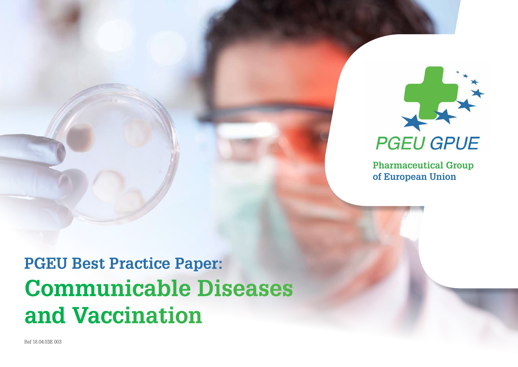

**Pharmaceutical Group of European Union**

# **PGEU Best Practice Paper: Communicable Diseases and Vaccination**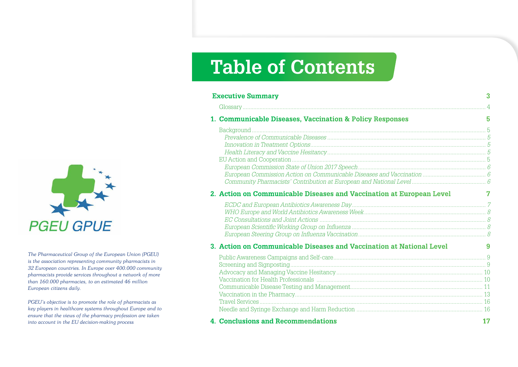# **PGEU GPUE**

The Pharmaceutical Group of the European Union (PGEU) is the association representing community pharmacists in 32 European countries. In Europe over 400.000 community pharmacists provide services throughout a network of more than 160.000 pharmacies, to an estimated 46 million European citizens daily.

PGEU's objective is to promote the role of pharmacists as key players in healthcare systems throughout Europe and to ensure that the views of the pharmacy profession are taken into account in the EU decision-making process

# **Table of Contents**

| <b>Executive Summary</b>                                             | 3  |
|----------------------------------------------------------------------|----|
|                                                                      |    |
| 1. Communicable Diseases, Vaccination & Policy Responses             | 5  |
|                                                                      |    |
|                                                                      |    |
|                                                                      |    |
|                                                                      |    |
|                                                                      |    |
|                                                                      |    |
|                                                                      |    |
|                                                                      |    |
| 2. Action on Communicable Diseases and Vaccination at European Level | 7  |
|                                                                      |    |
|                                                                      |    |
|                                                                      |    |
|                                                                      |    |
|                                                                      |    |
| 3. Action on Communicable Diseases and Vaccination at National Level | 9  |
|                                                                      |    |
|                                                                      |    |
|                                                                      |    |
|                                                                      |    |
|                                                                      |    |
|                                                                      |    |
|                                                                      |    |
|                                                                      |    |
| 4. Conclusions and Recommendations                                   | 17 |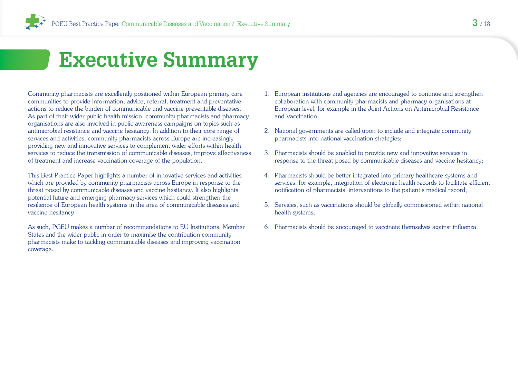# <span id="page-2-0"></span> **Executive Summary**

Community pharmacists are excellently positioned within European primary care communities to provide information, advice, referral, treatment and preventative actions to reduce the burden of communicable and vaccine-preventable diseases. As part of their wider public health mission, community pharmacists and pharmacy organisations are also involved in public awareness campaigns on topics such as antimicrobial resistance and vaccine hesitancy. In addition to their core range of services and activities, community pharmacists across Europe are increasingly providing new and innovative services to complement wider efforts within health services to reduce the transmission of communicable diseases, improve effectiveness of treatment and increase vaccination coverage of the population.

This Best Practice Paper highlights a number of innovative services and activities which are provided by community pharmacists across Europe in response to the threat posed by communicable diseases and vaccine hesitancy. It also highlights potential future and emerging pharmacy services which could strengthen the resilience of European health systems in the area of communicable diseases and vaccine hesitancy.

As such, PGEU makes a number of recommendations to EU Institutions, Member States and the wider public in order to maximise the contribution community pharmacists make to tackling communicable diseases and improving vaccination coverage:

- 1. European institutions and agencies are encouraged to continue and strengthen collaboration with community pharmacists and pharmacy organisations at European level, for example in the Joint Actions on Antimicrobial Resistance and Vaccination;
- 2. National governments are called-upon to include and integrate community pharmacists into national vaccination strategies;
- 3. Pharmacists should be enabled to provide new and innovative services in response to the threat posed by communicable diseases and vaccine hesitancy;
- 4. Pharmacists should be better integrated into primary healthcare systems and services, for example, integration of electronic health records to facilitate efficient notification of pharmacists' interventions to the patient's medical record;
- 5. Services, such as vaccinations should be globally commissioned within national health systems;
- 6. Pharmacists should be encouraged to vaccinate themselves against influenza.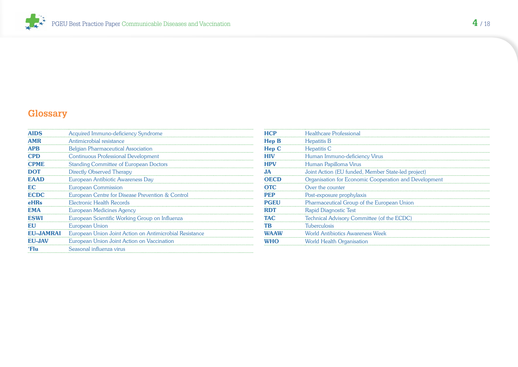<span id="page-3-0"></span>

# **Glossary**

| <b>AIDS</b>      | Acquired Immuno-deficiency Syndrome                     |
|------------------|---------------------------------------------------------|
| <b>AMR</b>       | Antimicrobial resistance                                |
| <b>APB</b>       | <b>Belgian Pharmaceutical Association</b>               |
| <b>CPD</b>       | <b>Continuous Professional Development</b>              |
| <b>CPME</b>      | <b>Standing Committee of European Doctors</b>           |
| <b>DOT</b>       | Directly Observed Therapy                               |
| <b>EAAD</b>      | European Antibiotic Awareness Day                       |
| <b>EC</b>        | <b>European Commission</b>                              |
| <b>ECDC</b>      | European Centre for Disease Prevention & Control        |
| eHRs             | Electronic Health Records                               |
| <b>EMA</b>       | European Medicines Agency                               |
| <b>ESWI</b>      | European Scientific Working Group on Influenza          |
| EU               | European Union                                          |
| <b>EU-JAMRAI</b> | European Union Joint Action on Antimicrobial Resistance |
| <b>EU-JAV</b>    | European Union Joint Action on Vaccination              |
| 'Flu             | Seasonal influenza virus                                |
|                  |                                                         |

| <b>HCP</b>   | <b>Healthcare Professional</b>                        |
|--------------|-------------------------------------------------------|
| <b>Hep B</b> | Hepatitis B                                           |
| Hep C        | <b>Hepatitis C</b>                                    |
| <b>HIV</b>   | Human Immuno-deficiency Virus                         |
| <b>HPV</b>   | Human Papilloma Virus                                 |
| JA           | Joint Action (EU funded, Member State-led project)    |
| <b>OECD</b>  | Organisation for Economic Cooperation and Development |
| <b>OTC</b>   | Over the counter                                      |
| <b>PEP</b>   | Post-exposure prophylaxis                             |
| <b>PGEU</b>  | Pharmaceutical Group of the European Union            |
| <b>RDT</b>   | <b>Rapid Diagnostic Test</b>                          |
| <b>TAC</b>   | Technical Advisory Committee (of the ECDC)            |
| <b>TB</b>    | <b>Tuberculosis</b>                                   |
| <b>WAAW</b>  | <b>World Antibiotics Awareness Week</b>               |
| <b>WHO</b>   | <b>World Health Organisation</b>                      |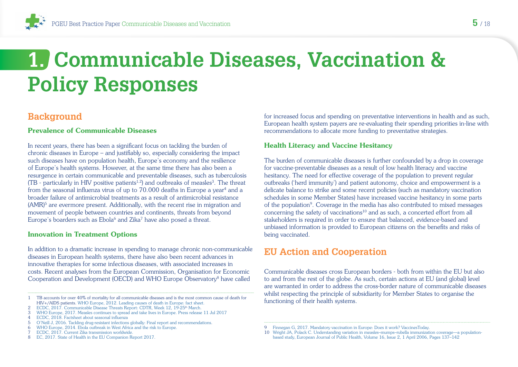# <span id="page-4-0"></span>**1. Communicable Diseases, Vaccination & Policy Responses**

## **Background**

#### Prevalence of Communicable Diseases

In recent years, there has been a significant focus on tackling the burden of chronic diseases in Europe – and justifiably so, especially considering the impact such diseases have on population health, Europe's economy and the resilience of Europe's health systems. However, at the same time there has also been a resurgence in certain communicable and preventable diseases, such as tuberculosis  $(TB -$  particularly in HIV positive patients<sup>1,2</sup>) and outbreaks of measles<sup>3</sup>. The threat from the seasonal influenza virus of up to 70.000 deaths in Europe a year<sup>4</sup> and a broader failure of antimicrobial treatments as a result of antimicrobial resistance  $(AMR)^5$  are evermore present. Additionally, with the recent rise in migration and movement of people between countries and continents, threats from beyond Europe's boarders such as Ebola<sup>6</sup> and Zika<sup>7</sup> have also posed a threat.

#### Innovation in Treatment Options

In addition to a dramatic increase in spending to manage chronic non-communicable diseases in European health systems, there have also been recent advances in innovative therapies for some infectious diseases, with associated increases in costs. Recent analyses from the European Commission, Organisation for Economic Cooperation and Development (OECD) and WHO Europe Observatory8 have called

1 TB accounts for over 40% of mortality for all communicable diseases and is the most common cause of death for HIV+/AIDS patients. WHO Europe, 2012. Leading causes of death in Europe: fact sheet.

6 WHO Europe, 2014. Ebola outbreak in West Africa and the risk to Europe.

8 EC, 2017. State of Health in the EU Companion Report 2017.

for increased focus and spending on preventative interventions in health and as such, European health system payers are re-evaluating their spending priorities in-line with recommendations to allocate more funding to preventative strategies.

#### Health Literacy and Vaccine Hesitancy

The burden of communicable diseases is further confounded by a drop in coverage for vaccine-preventable diseases as a result of low health literacy and vaccine hesitancy. The need for effective coverage of the population to prevent regular outbreaks ('herd immunity') and patient autonomy, choice and empowerment is a delicate balance to strike and some recent policies (such as mandatory vaccination schedules in some Member States) have increased vaccine hesitancy in some parts of the population9. Coverage in the media has also contributed to mixed messages concerning the safety of vaccinations<sup>10</sup> and as such, a concerted effort from all stakeholders is required in order to ensure that balanced, evidence-based and unbiased information is provided to European citizens on the benefits and risks of being vaccinated.

## **EU Action and Cooperation**

Communicable diseases cross European borders - both from within the EU but also to and from the rest of the globe. As such, certain actions at EU (and global) level are warranted in order to address the cross-border nature of communicable diseases whilst respecting the principle of subsidiarity for Member States to organise the functioning of their health systems.

<sup>2</sup> ECDC, 2017. Communicable Disease Threats Report: CDTR, Week 12, 19-25<sup>th</sup> March.

<sup>3</sup> WHO Europe, 2017. Measles continues to spread and take lives in Europe. Press release 11 Jul 2017

<sup>4</sup> ECDC, 2018. Factsheet about seasonal influenza

<sup>5</sup> O'Neill J, 2016. Tackling drug-resistant infections globally: Final report and recommendations.

<sup>7</sup> ECDC, 2017. Current Zika transmission worldwide.

<sup>9</sup> Finnegan G, 2017. Mandatory vaccination in Europe: Does it work? VaccinesToday.

<sup>10</sup> Wright JA, Polack C. Understanding variation in measles–mumps–rubella immunization coverage—a populationbased study, European Journal of Public Health, Volume 16, Issue 2, 1 April 2006, Pages 137–142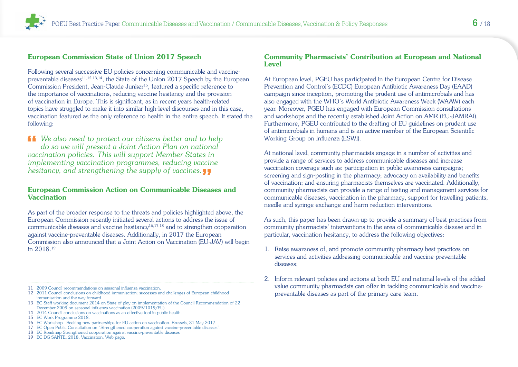#### <span id="page-5-0"></span>European Commission State of Union 2017 Speech

Following several successive EU policies concerning communicable and vaccinepreventable diseases<sup>11,12,13,14</sup>, the State of the Union 2017 Speech by the European Commission President, Jean-Claude Junker15, featured a specific reference to the importance of vaccinations, reducing vaccine hesitancy and the provision of vaccination in Europe. This is significant, as in recent years health-related topics have struggled to make it into similar high-level discourses and in this case, vaccination featured as the only reference to health in the entire speech. It stated the following:

**14** We also need to protect our citizens better and to help *do so we will present a Joint Action Plan on national vaccination policies. This will support Member States in implementing vaccination programmes, reducing vaccine hesitancy, and strengthening the supply of vaccines.*"

#### European Commission Action on Communicable Diseases and **Vaccination**

As part of the broader response to the threats and policies highlighted above, the European Commission recently initiated several actions to address the issue of communicable diseases and vaccine hesitancy16,17,18 and to strengthen cooperation against vaccine-preventable diseases. Additionally, in 2017 the European Commission also announced that a Joint Action on Vaccination (EU-JAV) will begin in 2018.19

- 11 2009 Council recommendations on seasonal influenza vaccination.
- 12 2011 Council conclusions on childhood immunisation: successes and challenges of European childhood immunisation and the way forward
- 13 EC Staff working document 2014 on State of play on implementation of the Council Recommendation of 22 December 2009 on seasonal influenza vaccination (2009/1019/EU).
- 14 2014 Council conclusions on vaccinations as an effective tool in public health.
- 15 EC Work Programme 2018.
- 16 [EC Workshop Seeking new partnerships for EU action on vaccination. Brussels, 31 May 2017.](https://ec.europa.eu/health/vaccination/events/ev_20170531_en)
- 17 [EC Open Public Consultation on "Strengthened cooperation against vaccine-preventable diseases".](https://ec.europa.eu/info/consultations/open-public-consultation-strengthened-cooperation-against-vaccine-preventable-diseases_en)
- 18 [EC Roadmap Strengthened cooperation against vaccine-preventable diseases](https://ec.europa.eu/info/law/better-regulation/initiatives/ares-2017-5925775_en)
- 19 [EC DG SANTE, 2018. Vaccination. Web page.](https://ec.europa.eu/health/vaccination/overview_en)

#### Community Pharmacists' Contribution at European and National Level

At European level, PGEU has participated in the European Centre for Disease Prevention and Control's (ECDC) European Antibiotic Awareness Day (EAAD) campaign since inception, promoting the prudent use of antimicrobials and has also engaged with the WHO's World Antibiotic Awareness Week (WAAW) each year. Moreover, PGEU has engaged with European Commission consultations and workshops and the recently established Joint Action on AMR (EU-JAMRAI). Furthermore, PGEU contributed to the drafting of EU guidelines on prudent use of antimicrobials in humans and is an active member of the European Scientific Working Group on Influenza (ESWI).

At national level, community pharmacists engage in a number of activities and provide a range of services to address communicable diseases and increase vaccination coverage such as: participation in public awareness campaigns; screening and sign-posting in the pharmacy; advocacy on availability and benefits of vaccination; and ensuring pharmacists themselves are vaccinated. Additionally, community pharmacists can provide a range of testing and management services for communicable diseases, vaccination in the pharmacy, support for travelling patients, needle and syringe exchange and harm reduction interventions.

As such, this paper has been drawn-up to provide a summary of best practices from community pharmacists' interventions in the area of communicable disease and in particular, vaccination hesitancy, to address the following objectives:

- 1. Raise awareness of, and promote community pharmacy best practices on services and activities addressing communicable and vaccine-preventable diseases;
- 2. Inform relevant policies and actions at both EU and national levels of the added value community pharmacists can offer in tackling communicable and vaccinepreventable diseases as part of the primary care team.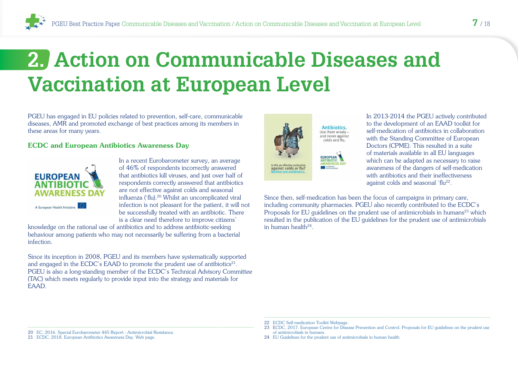# <span id="page-6-0"></span>**2. Action on Communicable Diseases and Vaccination at European Level**

PGEU has engaged in EU policies related to prevention, self-care, communicable diseases, AMR and promoted exchange of best practices among its members in these areas for many years.

#### ECDC and European Antibiotics Awareness Day



In a recent Eurobarometer survey, an average of 46% of respondents incorrectly answered that antibiotics kill viruses, and just over half of respondents correctly answered that antibiotics are not effective against colds and seasonal influenza ('flu).20 Whilst an uncomplicated viral infection is not pleasant for the patient, it will not be successfully treated with an antibiotic. There is a clear need therefore to improve citizens'

knowledge on the rational use of antibiotics and to address antibiotic-seeking behaviour among patients who may not necessarily be suffering from a bacterial infection.

Since its inception in 2008, PGEU and its members have systematically supported and engaged in the ECDC's EAAD to promote the prudent use of antibiotics<sup>21</sup>. PGEU is also a long-standing member of the ECDC's Technical Advisory Committee (TAC) which meets regularly to provide input into the strategy and materials for EAAD.







In 2013-2014 the PGEU actively contributed to the development of an EAAD toolkit for self-medication of antibiotics in collaboration with the Standing Committee of European Doctors (CPME). This resulted in a suite of materials available in all EU languages which can be adapted as necessary to raise awareness of the dangers of self-medication with antibiotics and their ineffectiveness against colds and seasonal 'flu<sup>22</sup>.

Since then, self-medication has been the focus of campaigns in primary care, including community pharmacies. PGEU also recently contributed to the ECDC's Proposals for EU guidelines on the prudent use of antimicrobials in humans<sup>23</sup> which resulted in the publication of the EU guidelines for the prudent use of antimicrobials in human health<sup>24</sup>

- 22 [ECDC Self-medication Toolkit Webpage.](https://antibiotic.ecdc.europa.eu/en/eaad/antibiotics-plan-campaign/toolkit-self-medication/Pages/toolkit-general-public-self-medication.aspx)
- 23 E[CDC, 2017. European Centre for Disease Prevention and Control. Proposals for EU guidelines on the prudent use](https://ecdc.europa.eu/sites/portal/files/media/en/publications/Publications/EU-guidelines-prudent-use-antimicrobials.pdf)  [of antimicrobials in humans.](https://ecdc.europa.eu/sites/portal/files/media/en/publications/Publications/EU-guidelines-prudent-use-antimicrobials.pdf)
- 24 [EU Guidelines for the prudent use of antimicrobials in human health](https://ec.europa.eu/health/amr/sites/amr/files/amr_guidelines_prudent_use_en.pdf)
- 20 [EC, 2016. Special Eurobarometer 445 Report : Antimicrobial Resistance.](https://ec.europa.eu/health/amr/sites/amr/files/eb445_amr_generalreport_en.pdf)
- 21 [ECDC, 2018. European Antibiotics Awareness Day. Web page.](https://antibiotic.ecdc.europa.eu/en)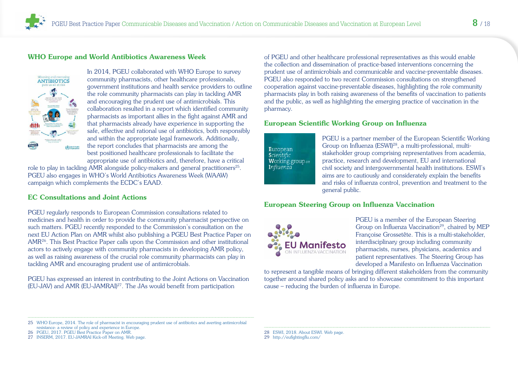#### <span id="page-7-0"></span>WHO Europe and World Antibiotics Awareness Week



In 2014, PGEU collaborated with WHO Europe to survey community pharmacists, other healthcare professionals, government institutions and health service providers to outline the role community pharmacists can play in tackling AMR and encouraging the prudent use of antimicrobials. This collaboration resulted in a report which identified community pharmacists as important allies in the fight against AMR and that pharmacists already have experience in supporting the safe, effective and rational use of antibiotics, both responsibly and within the appropriate legal framework. Additionally, the report concludes that pharmacists are among the best positioned healthcare professionals to facilitate the appropriate use of antibiotics and, therefore, have a critical

role to play in tackling AMR alongside policy-makers and general practitioners<sup>25</sup>. PGEU also engages in WHO's World Antibiotics Awareness Week (WAAW) campaign which complements the ECDC's EAAD.

#### EC Consultations and Joint Actions

PGEU regularly responds to European Commission consultations related to medicines and health in order to provide the community pharmacist perspective on such matters. PGEU recently responded to the Commission's consultation on the next EU Action Plan on AMR whilst also publishing a PGEU Best Practice Paper on AMR26. This Best Practice Paper calls upon the Commission and other institutional actors to actively engage with community pharmacists in developing AMR policy, as well as raising awareness of the crucial role community pharmacists can play in tackling AMR and encouraging prudent use of antimicrobials.

PGEU has expressed an interest in contributing to the Joint Actions on Vaccination (EU-JAV) and AMR (EU-JAMRAI)27. The JAs would benefit from participation

of PGEU and other healthcare professional representatives as this would enable the collection and dissemination of practice-based interventions concerning the prudent use of antimicrobials and communicable and vaccine-preventable diseases. PGEU also responded to two recent Commission consultations on strengthened cooperation against vaccine-preventable diseases, highlighting the role community pharmacists play in both raising awareness of the benefits of vaccination to patients and the public, as well as highlighting the emerging practice of vaccination in the pharmacy.

#### European Scientific Working Group on Influenza



PGEU is a partner member of the European Scientific Working Group on Influenza (ESWI)28, a multi-professional, multistakeholder group comprising representatives from academia, practice, research and development, EU and international civil society and intergovernmental health institutions. ESWI's aims are to cautiously and considerately explain the benefits and risks of influenza control, prevention and treatment to the general public.

#### European Steering Group on Influenza Vaccination



PGEU is a member of the European Steering Group on Influenza Vaccination<sup>29</sup>, chaired by MEP Françoise Grossetête. This is a multi-stakeholder, interdisciplinary group including community pharmacists, nurses, physicians, academics and patient representatives. The Steering Group has developed a Manifesto on Influenza Vaccination

to represent a tangible means of bringing different stakeholders from the community together around shared policy asks and to showcase commitment to this important cause – reducing the burden of influenza in Europe.

29 <http://eufightingflu.com/>

<sup>25</sup> [WHO Europe, 2014. The role of pharmacist in encouraging prudent use of antibiotics and averting antimicrobial](http://www.euro.who.int/en/health-topics/Health-systems/health-technologies-and-medicines/publications/2014/the-role-of-pharmacist-in-encouraging-prudent-use-of-antibiotic-medicines-and-averting-antimicrobial-resistance-a-review-of-current-policies-and-experiences-in-europe-2014)  [resistance: a review of policy and experience in Europe.](http://www.euro.who.int/en/health-topics/Health-systems/health-technologies-and-medicines/publications/2014/the-role-of-pharmacist-in-encouraging-prudent-use-of-antibiotic-medicines-and-averting-antimicrobial-resistance-a-review-of-current-policies-and-experiences-in-europe-2014)

<sup>26</sup> [PGEU, 2017. PGEU Best Practice Paper on AMR.](http://pgeu.eu/en/policy/6:antibiotic-resistance.html)

<sup>27</sup> [INSERM, 2017. EU-JAMRAI Kick-off Meeting. Web page.](https://eu-jamrai.sciencesconf.org/)

<sup>28</sup> [ESWI, 2018. About ESWI. Web page.](http://eswi.org/home/about-eswi/our-motivation/)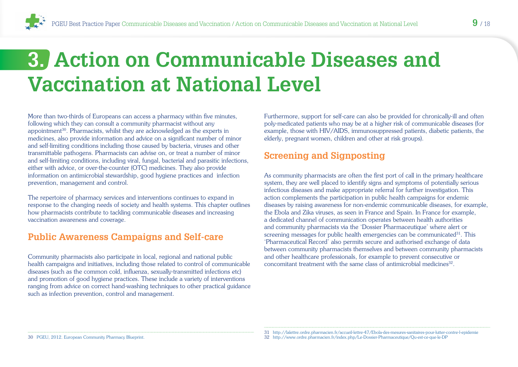# <span id="page-8-0"></span>**3. Action on Communicable Diseases and Vaccination at National Level**

More than two-thirds of Europeans can access a pharmacy within five minutes, following which they can consult a community pharmacist without any appointment<sup>30</sup>. Pharmacists, whilst they are acknowledged as the experts in medicines, also provide information and advice on a significant number of minor and self-limiting conditions including those caused by bacteria, viruses and other transmittable pathogens. Pharmacists can advise on, or treat a number of minor and self-limiting conditions, including viral, fungal, bacterial and parasitic infections, either with advice, or over-the-counter (OTC) medicines. They also provide information on antimicrobial stewardship, good hygiene practices and infection prevention, management and control.

The repertoire of pharmacy services and interventions continues to expand in response to the changing needs of society and health systems. This chapter outlines how pharmacists contribute to tackling communicable diseases and increasing vaccination awareness and coverage.

## **Public Awareness Campaigns and Self-care**

Community pharmacists also participate in local, regional and national public health campaigns and initiatives, including those related to control of communicable diseases (such as the common cold, influenza, sexually-transmitted infections etc) and promotion of good hygiene practices. These include a variety of interventions ranging from advice on correct hand-washing techniques to other practical guidance such as infection prevention, control and management.

Furthermore, support for self-care can also be provided for chronically-ill and often poly-medicated patients who may be at a higher risk of communicable diseases (for example, those with HIV/AIDS, immunosuppressed patients, diabetic patients, the elderly, pregnant women, children and other at risk groups).

## **Screening and Signposting**

As community pharmacists are often the first port of call in the primary healthcare system, they are well placed to identify signs and symptoms of potentially serious infectious diseases and make appropriate referral for further investigation. This action complements the participation in public health campaigns for endemic diseases by raising awareness for non-endemic communicable diseases, for example, the Ebola and Zika viruses, as seen in France and Spain. In France for example, a dedicated channel of communication operates between health authorities and community pharmacists via the 'Dossier Pharmaceutique' where alert or screening messages for public health emergencies can be communicated<sup>31</sup>. This 'Pharmaceutical Record' also permits secure and authorised exchange of data between community pharmacists themselves and between community pharmacists and other healthcare professionals, for example to prevent consecutive or concomitant treatment with the same class of antimicrobial medicines32.

30 PGEU, 2012. European Community Pharmacy Blueprint.

<sup>31</sup> http://lalettre.ordre.pharmacien.fr/accueil-lettre-47/Ebola-des-mesures-sanitaires-pour-lutter-contre-l-epidemie 32 http://www.ordre.pharmacien.fr/index.php/Le-Dossier-Pharmaceutique/Qu-est-ce-que-le-DP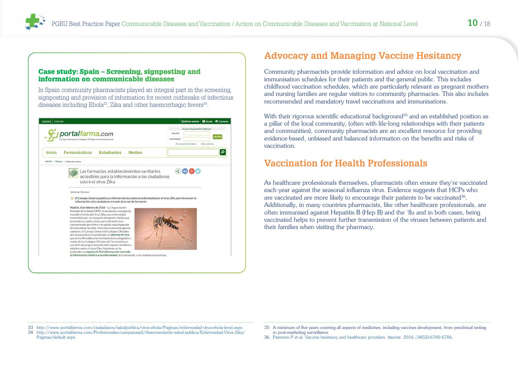#### <span id="page-9-0"></span>Case study: Spain – Screening, signposting and information on communicable diseases

In Spain community pharmacists played an integral part in the screening, signposting and provision of information for recent outbreaks of infectious diseases including Ebola<sup>33</sup>, Zika and other haemorrhagic fevers<sup>34</sup>.



# **Advocacy and Managing Vaccine Hesitancy**

Community pharmacists provide information and advice on local vaccination and immunisation schedules for their patients and the general public. This includes childhood vaccination schedules, which are particularly relevant as pregnant mothers and nursing families are regular visitors to community pharmacies. This also includes recommended and mandatory travel vaccinations and immunisations.

With their rigorous scientific educational background<sup>35</sup> and an established position as a pillar of the local community, (often with life-long relationships with their patients and communities), community pharmacists are an excellent resource for providing evidence-based, unbiased and balanced information on the benefits and risks of vaccination.

## **Vaccination for Health Professionals**

As healthcare professionals themselves, pharmacists often ensure they're vaccinated each year against the seasonal influenza virus. Evidence suggests that HCPs who are vaccinated are more likely to encourage their patients to be vaccinated<sup>36</sup>. Additionally, in many countries pharmacists, like other healthcare professionals, are often immunised against Hepatitis B (Hep B) and the 'flu and in both cases, being vaccinated helps to prevent further transmission of the viruses between patients and their families when visiting the pharmacy.

- 33 [http://www.portalfarma.com/ciudadanos/saludpublica/virus-ebola/Paginas/enfermedad-virus-ebola-\(eve\).aspx](http://www.portalfarma.com/ciudadanos/saludpublica/virus-ebola/Paginas/enfermedad-virus-ebola-(eve).aspx)
- 34 [http://www.portalfarma.com/Profesionales/campanaspf/Asesoramiento-salud-publica/Enfermedad-Virus-Zika/](http://www.portalfarma.com/Profesionales/campanaspf/Asesoramiento-salud-publica/Enfermedad-Virus-Zika/Paginas/default.aspx) [Paginas/default.aspx](http://www.portalfarma.com/Profesionales/campanaspf/Asesoramiento-salud-publica/Enfermedad-Virus-Zika/Paginas/default.aspx)
- 35 A minimum of five years covering all aspects of medicines, including vaccines development, from preclinical testing to post-marketing surveillance
- 36 Paterson P et al. Vaccine hesitancy and healthcare providers. *Vaccine*. 2016 ;34(52):6700-6706.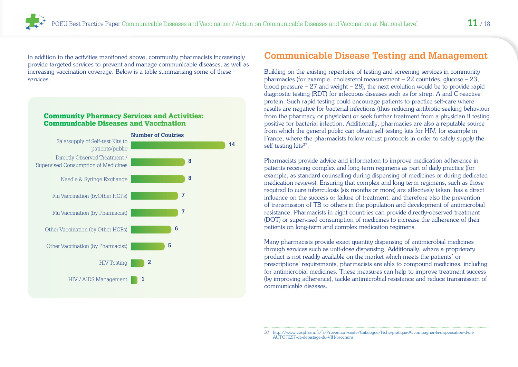<span id="page-10-0"></span>In addition to the activities mentioned above, community pharmacists increasingly provide targeted services to prevent and manage communicable diseases, as well as increasing vaccination coverage. Below is a table summarising some of these services.

#### Community Pharmacy Services and Activities: Communicable Diseases and Vaccination



## **Communicable Disease Testing and Management**

Building on the existing repertoire of testing and screening services in community pharmacies (for example, cholesterol measurement – 22 countries, glucose – 23, blood pressure  $-27$  and weight  $-28$ ), the next evolution would be to provide rapid diagnostic testing (RDT) for infectious diseases such as for strep. A and C-reactive protein. Such rapid testing could encourage patients to practice self-care where results are negative for bacterial infections (thus reducing antibiotic-seeking behaviour from the pharmacy or physician) or seek further treatment from a physician if testing positive for bacterial infection. Additionally, pharmacies are also a reputable source from which the general public can obtain self-testing kits for HIV, for example in France, where the pharmacists follow robust protocols in order to safely supply the self-testing kits<sup>37</sup>.

Pharmacists provide advice and information to improve medication adherence in patients receiving complex and long-term regimens as part of daily practice (for example, as standard counselling during dispensing of medicines or during dedicated medication reviews). Ensuring that complex and long-term regimens, such as those required to cure tuberculosis (six months or more) are effectively taken, has a direct influence on the success or failure of treatment, and therefore also the prevention of transmission of TB to others in the population and development of antimicrobial resistance. Pharmacists in eight countries can provide directly-observed treatment (DOT) or supervised consumption of medicines to increase the adherence of their patients on long-term and complex medication regimens.

Many pharmacists provide exact quantity dispensing of antimicrobial medicines through services such as unit-dose dispensing. Additionally, where a proprietary product is not readily available on the market which meets the patients' or prescriptions' requirements, pharmacists are able to compound medicines, including for antimicrobial medicines. These measures can help to improve treatment success (by improving adherence), tackle antimicrobial resistance and reduce transmission of communicable diseases.

<sup>37</sup> http://www.cespharm.fr/fr/Prevention-sante/Catalogue/Fiche-pratique-Accompagner-la-dispensation-d-un-AUTOTEST-de-depistage-du-VIH-brochure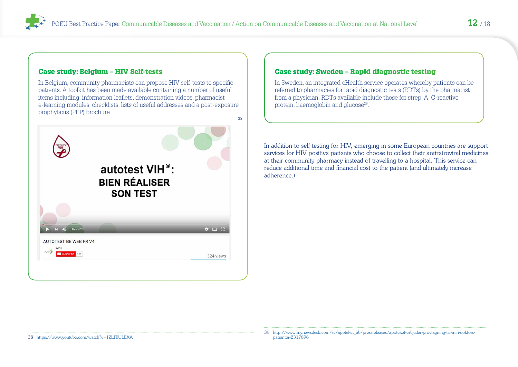#### Case study: Belgium – HIV Self-tests

In Belgium, community pharmacists can propose HIV self-tests to specific patients. A toolkit has been made available containing a number of useful items including: information leaflets, demonstration videos, pharmacist e-learning modules, checklists, lists of useful addresses and a post-exposure prophylaxis (PEP) brochure.



#### Case study: Sweden – Rapid diagnostic testing

In Sweden, an integrated eHealth service operates whereby patients can be referred to pharmacies for rapid diagnostic tests (RDTs) by the pharmacist from a physician. RDTs available include those for strep. A, C-reactive protein, haemoglobin and glucose<sup>39</sup>.

In addition to self-testing for HIV, emerging in some European countries are support services for HIV positive patients who choose to collect their antiretroviral medicines at their community pharmacy instead of travelling to a hospital. This service can reduce additional time and financial cost to the patient (and ultimately increase adherence.)

38 <https://www.youtube.com/watch?v=1ZLFIlULEXA>

<sup>39</sup> [http://www.mynewsdesk.com/se/apoteket\\_ab/pressreleases/apoteket-erbjuder-provtagning-till-min-doktors](http://www.mynewsdesk.com/se/apoteket_ab/pressreleases/apoteket-erbjuder-provtagning-till-min-doktors-patienter-2317696)[patienter-2317696](http://www.mynewsdesk.com/se/apoteket_ab/pressreleases/apoteket-erbjuder-provtagning-till-min-doktors-patienter-2317696)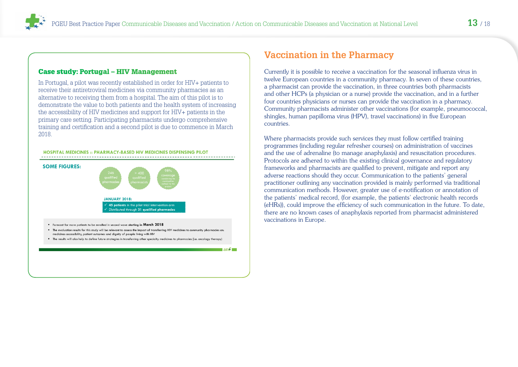#### <span id="page-12-0"></span>Case study: Portugal – HIV Management

In Portugal, a pilot was recently established in order for HIV+ patients to receive their antiretroviral medicines via community pharmacies as an alternative to receiving them from a hospital. The aim of this pilot is to demonstrate the value to both patients and the health system of increasing the accessibility of HIV medicines and support for HIV+ patients in the primary care setting. Participating pharmacists undergo comprehensive training and certification and a second pilot is due to commence in March 2018.



## **Vaccination in the Pharmacy**

Currently it is possible to receive a vaccination for the seasonal influenza virus in twelve European countries in a community pharmacy. In seven of these countries, a pharmacist can provide the vaccination, in three countries both pharmacists and other HCPs (a physician or a nurse) provide the vaccination, and in a further four countries physicians or nurses can provide the vaccination in a pharmacy. Community pharmacists administer other vaccinations (for example, pneumococcal, shingles, human papilloma virus (HPV), travel vaccinations) in five European countries.

Where pharmacists provide such services they must follow certified training programmes (including regular refresher courses) on administration of vaccines and the use of adrenaline (to manage anaphylaxis) and resuscitation procedures. Protocols are adhered to within the existing clinical governance and regulatory frameworks and pharmacists are qualified to prevent, mitigate and report any adverse reactions should they occur. Communication to the patients' general practitioner outlining any vaccination provided is mainly performed via traditional communication methods. However, greater use of e-notification or annotation of the patients' medical record, (for example, the patients' electronic health records (eHRs)), could improve the efficiency of such communication in the future. To date, there are no known cases of anaphylaxis reported from pharmacist administered vaccinations in Europe.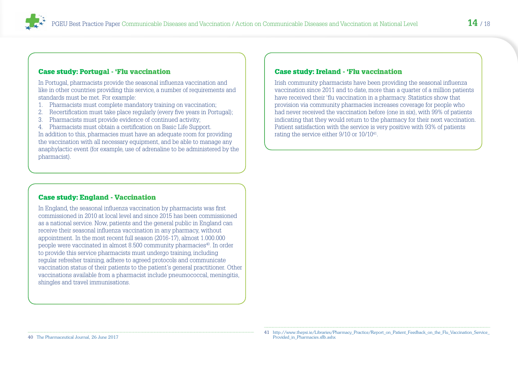#### Case study: Portugal - 'Flu vaccination

In Portugal, pharmacists provide the seasonal influenza vaccination and like in other countries providing this service, a number of requirements and standards must be met. For example:

- 1. Pharmacists must complete mandatory training on vaccination;
- 2. Recertification must take place regularly (every five years in Portugal);
- 3. Pharmacists must provide evidence of continued activity;

4. Pharmacists must obtain a certification on Basic Life Support. In addition to this, pharmacies must have an adequate room for providing the vaccination with all necessary equipment, and be able to manage any anaphylactic event (for example, use of adrenaline to be administered by the pharmacist).

#### Case study: England - Vaccination

In England, the seasonal influenza vaccination by pharmacists was first commissioned in 2010 at local level and since 2015 has been commissioned as a national service. Now, patients and the general public in England can receive their seasonal influenza vaccination in any pharmacy, without appointment. In the most recent full season (2016-17), almost 1.000.000 people were vaccinated in almost 8.500 community pharmacies<sup>40</sup>. In order to provide this service pharmacists must undergo training, including regular refresher training, adhere to agreed protocols and communicate vaccination status of their patients to the patient's general practitioner. Other vaccinations available from a pharmacist include pneumococcal, meningitis, shingles and travel immunisations.

#### Case study: Ireland - 'Flu vaccination

Irish community pharmacists have been providing the seasonal influenza vaccination since 2011 and to date, more than a quarter of a million patients have received their 'flu vaccination in a pharmacy. Statistics show that provision via community pharmacies increases coverage for people who had never received the vaccination before (one in six), with 99% of patients indicating that they would return to the pharmacy for their next vaccination. Patient satisfaction with the service is very positive with 93% of patients rating the service either 9/10 or 10/10<sup>41</sup>.

40 [The Pharmaceutical Journal, 26 June 2017](https://www.pharmaceutical-journal.com/news-and-analysis/news-in-brief/community-pharmacists-administered-nearly-1nbspmillion-flu-vaccinations-in-20162017/20203039.article)

<sup>41</sup> [http://www.thepsi.ie/Libraries/Pharmacy\\_Practice/Report\\_on\\_Patient\\_Feedback\\_on\\_the\\_Flu\\_Vaccination\\_Service\\_](http://www.thepsi.ie/Libraries/Pharmacy_Practice/Report_on_Patient_Feedback_on_the_Flu_Vaccination_Service_Provided_in_Pharmacies.sflb.ashx) [Provided\\_in\\_Pharmacies.sflb.ashx](http://www.thepsi.ie/Libraries/Pharmacy_Practice/Report_on_Patient_Feedback_on_the_Flu_Vaccination_Service_Provided_in_Pharmacies.sflb.ashx)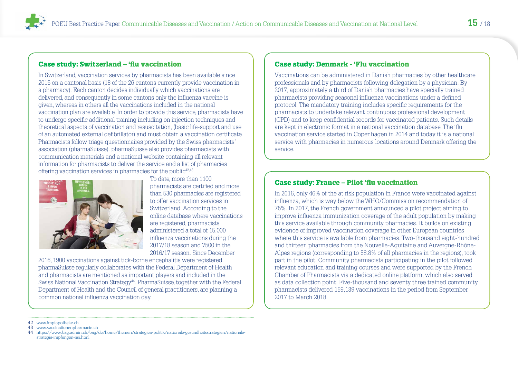#### Case study: Switzerland – 'flu vaccination

In Switzerland, vaccination services by pharmacists has been available since 2015 on a cantonal basis (18 of the 26 cantons currently provide vaccination in a pharmacy). Each canton decides individually which vaccinations are delivered, and consequently in some cantons only the influenza vaccine is given, whereas in others all the vaccinations included in the national vaccination plan are available. In order to provide this service, pharmacists have to undergo specific additional training including on injection techniques and theoretical aspects of vaccination and resuscitation, (basic life-support and use of an automated external defibrillator) and must obtain a vaccination certificate. Pharmacists follow triage questionnaires provided by the Swiss pharmacists' association (pharmaSuisse). pharmaSuisse also provides pharmacists with communication materials and a national website containing all relevant information for pharmacists to deliver the service and a list of pharmacies offering vaccination services in pharmacies for the public $42,43$ .



To date, more than 1100 pharmacists are certified and more than 530 pharmacies are registered to offer vaccination services in Switzerland. According to the online database where vaccinations are registered, pharmacists administered a total of 15.000 influenza vaccinations during the 2017/18 season and 7500 in the 2016/17 season. Since December

2016, 1900 vaccinations against tick-borne encephalitis were registered. pharmaSuisse regularly collaborates with the Federal Department of Health and pharmacists are mentioned as important players and included in the Swiss National Vaccination Strategy<sup>44</sup>. PharmaSuisse, together with the Federal Department of Health and the Council of general practitioners, are planning a common national influenza vaccination day.

#### Case study: Denmark - 'Flu vaccination

Vaccinations can be administered in Danish pharmacies by other healthcare professionals and by pharmacists following delegation by a physician. By 2017, approximately a third of Danish pharmacies have specially trained pharmacists providing seasonal influenza vaccinations under a defined protocol. The mandatory training includes specific requirements for the pharmacists to undertake relevant continuous professional development (CPD) and to keep confidential records for vaccinated patients. Such details are kept in electronic format in a national vaccination database. The 'flu vaccination service started in Copenhagen in 2014 and today it is a national service with pharmacies in numerous locations around Denmark offering the service.

#### Case study: France – Pilot 'flu vaccination

In 2016, only 46% of the at risk population in France were vaccinated against influenza, which is way below the WHO/Commission recommendation of 75%. In 2017, the French government announced a pilot project aiming to improve influenza immunization coverage of the adult population by making this service available through community pharmacies. It builds on existing evidence of improved vaccination coverage in other European countries where this service is available from pharmacies. Two-thousand eight-hundred and thirteen pharmacies from the Nouvelle-Aquitaine and Auvergne-Rhône-Alpes regions (corresponding to 58.8% of all pharmacies in the regions), took part in the pilot. Community pharmacists participating in the pilot followed relevant education and training courses and were supported by the French Chamber of Pharmacists via a dedicated online platform, which also served as data collection point. Five-thousand and seventy three trained community pharmacists delivered 159,139 vaccinations in the period from September 2017 to March 2018.

<sup>42</sup> [www.impfapotheke.ch](http://www.impfapotheke.ch)

<sup>43</sup> [www.vaccinationenpharmacie.ch](http://www.vaccinationenpharmacie.ch)

<sup>44</sup> [https://www.bag.admin.ch/bag/de/home/themen/strategien-politik/nationale-gesundheitsstrategien/nationale](https://www.bag.admin.ch/bag/de/home/themen/strategien-politik/nationale-gesundheitsstrategien/nationale-strategie-impfungen-nsi.html)[strategie-impfungen-nsi.html](https://www.bag.admin.ch/bag/de/home/themen/strategien-politik/nationale-gesundheitsstrategien/nationale-strategie-impfungen-nsi.html)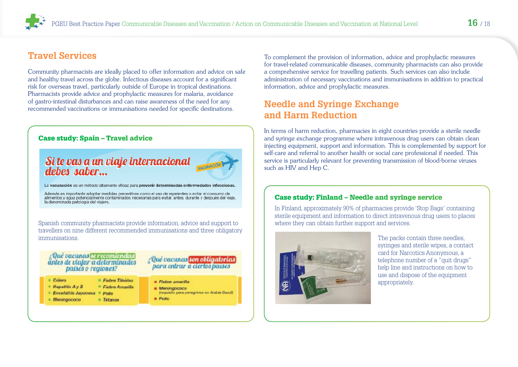# <span id="page-15-0"></span>**Travel Services**

Community pharmacists are ideally placed to offer information and advice on safe and healthy travel across the globe. Infectious diseases account for a significant risk for overseas travel, particularly outside of Europe in tropical destinations. Pharmacists provide advice and prophylactic measures for malaria, avoidance of gastro-intestinal disturbances and can raise awareness of the need for any recommended vaccinations or immunisations needed for specific destinations.

#### Case study: Spain – Travel advice

# Si te vas a un viaje internacional<br>debes saber...



La vacunación es un método altamente eficaz para prevenir determinadas enfermedades infecciosas.

Además es importante adoptar medidas preventivas como el uso de repelentes o evitar el consumo de<br>alimentos y agua potencialmente contaminados necesarias para evitar, antes, durante y después del viaje. la denominada patología del viajero.

Spanish community pharmacists provide information, advice and support to travellers on nine different recommended immunisations and three obligatory immunisations.

#### : Qué vacunas le recomiendan antes de viaiar a determinados paises o reaiones?

#### : Qué vacunas son obligatorias para entrar a ciertos países

- $C<sub>other3</sub>$ · Fishro Titoidoa  $= H$ opatitis  $A y B$ <sup>\*</sup> Fishro Amarilla - Encefalliis Japonesa - Pollo · Meningococo · Tetanos
- · Fiebre emarilla  $\bullet$  Menarapegos
	- (requisito para peregrinos en Arabia Saud)

*<b>Polic* 

To complement the provision of information, advice and prophylactic measures for travel-related communicable diseases, community pharmacists can also provide a comprehensive service for travelling patients. Such services can also include administration of necessary vaccinations and immunisations in addition to practical information, advice and prophylactic measures.

# **Needle and Syringe Exchange and Harm Reduction**

In terms of harm reduction, pharmacies in eight countries provide a sterile needle and syringe exchange programme where intravenous drug users can obtain clean injecting equipment, support and information. This is complemented by support for self-care and referral to another health or social care professional if needed. This service is particularly relevant for preventing transmission of blood-borne viruses such as HIV and Hep C.

#### Case study: Finland – Needle and syringe service

In Finland, approximately 90% of pharmacies provide 'Stop Bags' containing sterile equipment and information to direct intravenous drug users to places where they can obtain further support and services.



The packs contain three needles, syringes and sterile wipes, a contact card for Narcotics Anonymous, a telephone number of a "quit drugs" help line and instructions on how to use and dispose of the equipment appropriately.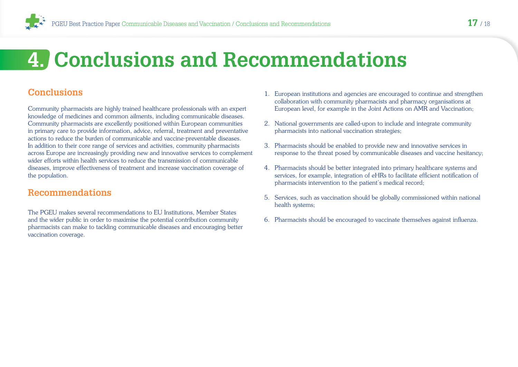<span id="page-16-0"></span>

# **4. Conclusions and Recommendations**

## **Conclusions**

Community pharmacists are highly trained healthcare professionals with an expert knowledge of medicines and common ailments, including communicable diseases. Community pharmacists are excellently positioned within European communities in primary care to provide information, advice, referral, treatment and preventative actions to reduce the burden of communicable and vaccine-preventable diseases. In addition to their core range of services and activities, community pharmacists across Europe are increasingly providing new and innovative services to complement wider efforts within health services to reduce the transmission of communicable diseases, improve effectiveness of treatment and increase vaccination coverage of the population.

## **Recommendations**

The PGEU makes several recommendations to EU Institutions, Member States and the wider public in order to maximise the potential contribution community pharmacists can make to tackling communicable diseases and encouraging better vaccination coverage.

- 1. European institutions and agencies are encouraged to continue and strengthen collaboration with community pharmacists and pharmacy organisations at European level, for example in the Joint Actions on AMR and Vaccination;
- 2. National governments are called-upon to include and integrate community pharmacists into national vaccination strategies;
- 3. Pharmacists should be enabled to provide new and innovative services in response to the threat posed by communicable diseases and vaccine hesitancy;
- 4. Pharmacists should be better integrated into primary healthcare systems and services, for example, integration of eHRs to facilitate efficient notification of pharmacists intervention to the patient's medical record;
- 5. Services, such as vaccination should be globally commissioned within national health systems;
- 6. Pharmacists should be encouraged to vaccinate themselves against influenza.